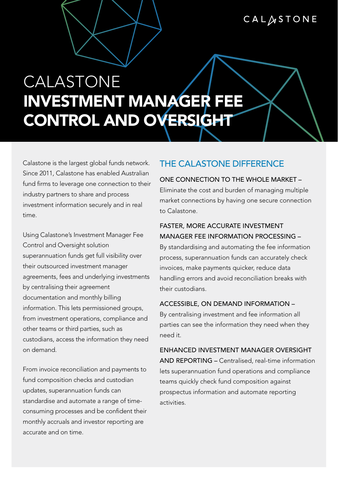# CALASTONE

# CALASTONE INVESTMENT MANAGER FEE CONTROL AND OVERSIGHT

Calastone is the largest global funds network. Since 2011, Calastone has enabled Australian fund firms to leverage one connection to their industry partners to share and process investment information securely and in real time.

Using Calastone's Investment Manager Fee Control and Oversight solution superannuation funds get full visibility over their outsourced investment manager agreements, fees and underlying investments by centralising their agreement documentation and monthly billing information. This lets permissioned groups, from investment operations, compliance and other teams or third parties, such as custodians, access the information they need on demand.

From invoice reconciliation and payments to fund composition checks and custodian updates, superannuation funds can standardise and automate a range of timeconsuming processes and be confident their monthly accruals and investor reporting are accurate and on time.

## THE CALASTONE DIFFERENCE

#### ONE CONNECTION TO THE WHOLE MARKET –

Eliminate the cost and burden of managing multiple market connections by having one secure connection to Calastone.

## FASTER, MORE ACCURATE INVESTMENT MANAGER FEE INFORMATION PROCESSING –

By standardising and automating the fee information process, superannuation funds can accurately check invoices, make payments quicker, reduce data handling errors and avoid reconciliation breaks with their custodians.

#### ACCESSIBLE, ON DEMAND INFORMATION –

By centralising investment and fee information all parties can see the information they need when they need it.

ENHANCED INVESTMENT MANAGER OVERSIGHT AND REPORTING – Centralised, real-time information lets superannuation fund operations and compliance teams quickly check fund composition against prospectus information and automate reporting activities.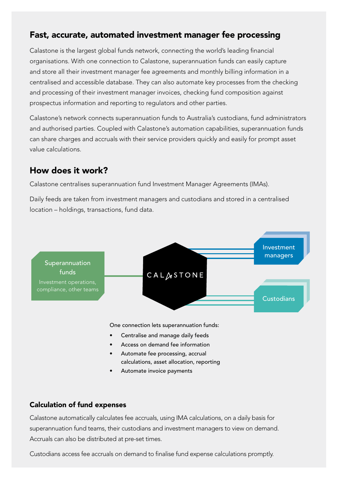## Fast, accurate, automated investment manager fee processing

Calastone is the largest global funds network, connecting the world's leading financial organisations. With one connection to Calastone, superannuation funds can easily capture and store all their investment manager fee agreements and monthly billing information in a centralised and accessible database. They can also automate key processes from the checking and processing of their investment manager invoices, checking fund composition against prospectus information and reporting to regulators and other parties.

Calastone's network connects superannuation funds to Australia's custodians, fund administrators and authorised parties. Coupled with Calastone's automation capabilities, superannuation funds can share charges and accruals with their service providers quickly and easily for prompt asset value calculations.

## How does it work?

Calastone centralises superannuation fund Investment Manager Agreements (IMAs).

Daily feeds are taken from investment managers and custodians and stored in a centralised location – holdings, transactions, fund data.



- calculations, asset allocation, reporting
- Automate invoice payments

### Calculation of fund expenses

Calastone automatically calculates fee accruals, using IMA calculations, on a daily basis for superannuation fund teams, their custodians and investment managers to view on demand. Accruals can also be distributed at pre-set times.

Custodians access fee accruals on demand to finalise fund expense calculations promptly.